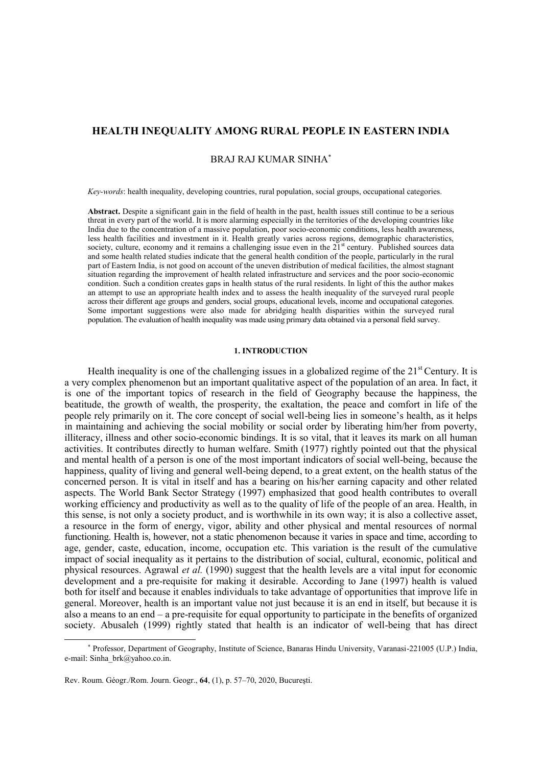# **HEALTH INEQUALITY AMONG RURAL PEOPLE IN EASTERN INDIA**

# BRAJ RAJ KUMAR SINHA

*Key-words*: health inequality, developing countries, rural population, social groups, occupational categories.

**Abstract.** Despite a significant gain in the field of health in the past, health issues still continue to be a serious threat in every part of the world. It is more alarming especially in the territories of the developing countries like India due to the concentration of a massive population, poor socio-economic conditions, less health awareness, less health facilities and investment in it. Health greatly varies across regions, demographic characteristics, society, culture, economy and it remains a challenging issue even in the  $21<sup>st</sup>$  century. Published sources data and some health related studies indicate that the general health condition of the people, particularly in the rural part of Eastern India, is not good on account of the uneven distribution of medical facilities, the almost stagnant situation regarding the improvement of health related infrastructure and services and the poor socio-economic condition. Such a condition creates gaps in health status of the rural residents. In light of this the author makes an attempt to use an appropriate health index and to assess the health inequality of the surveyed rural people across their different age groups and genders, social groups, educational levels, income and occupational categories. Some important suggestions were also made for abridging health disparities within the surveyed rural population. The evaluation of health inequality was made using primary data obtained via a personal field survey.

#### **1. INTRODUCTION**

Health inequality is one of the challenging issues in a globalized regime of the  $21<sup>st</sup>$  Century. It is a very complex phenomenon but an important qualitative aspect of the population of an area. In fact, it is one of the important topics of research in the field of Geography because the happiness, the beatitude, the growth of wealth, the prosperity, the exaltation, the peace and comfort in life of the people rely primarily on it. The core concept of social well-being lies in someone's health, as it helps in maintaining and achieving the social mobility or social order by liberating him/her from poverty, illiteracy, illness and other socio-economic bindings. It is so vital, that it leaves its mark on all human activities. It contributes directly to human welfare. Smith (1977) rightly pointed out that the physical and mental health of a person is one of the most important indicators of social well-being, because the happiness, quality of living and general well-being depend, to a great extent, on the health status of the concerned person. It is vital in itself and has a bearing on his/her earning capacity and other related aspects. The World Bank Sector Strategy (1997) emphasized that good health contributes to overall working efficiency and productivity as well as to the quality of life of the people of an area. Health, in this sense, is not only a society product, and is worthwhile in its own way; it is also a collective asset, a resource in the form of energy, vigor, ability and other physical and mental resources of normal functioning. Health is, however, not a static phenomenon because it varies in space and time, according to age, gender, caste, education, income, occupation etc. This variation is the result of the cumulative impact of social inequality as it pertains to the distribution of social, cultural, economic, political and physical resources. Agrawal *et al.* (1990) suggest that the health levels are a vital input for economic development and a pre-requisite for making it desirable. According to Jane (1997) health is valued both for itself and because it enables individuals to take advantage of opportunities that improve life in general. Moreover, health is an important value not just because it is an end in itself, but because it is also a means to an end – a pre-requisite for equal opportunity to participate in the benefits of organized society. Abusaleh (1999) rightly stated that health is an indicator of well-being that has direct

 $\overline{a}$ 

Professor, Department of Geography, Institute of Science, Banaras Hindu University, Varanasi-221005 (U.P.) India, e-mail[: Sinha\\_brk@yahoo.co.in.](mailto:Sinha_brk@yahoo.co.in)

Rev. Roum. Géogr./Rom. Journ. Geogr., **64**, (1), p. 57–70, 2020, Bucureşti.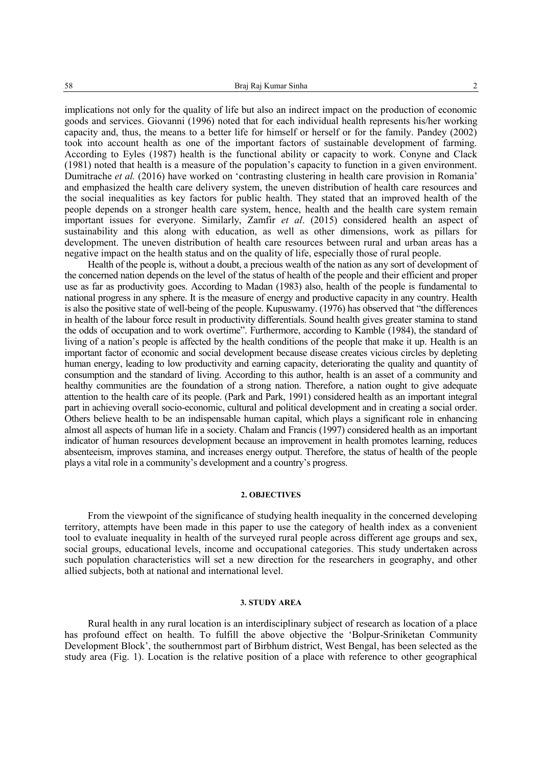implications not only for the quality of life but also an indirect impact on the production of economic goods and services. Giovanni (1996) noted that for each individual health represents his/her working capacity and, thus, the means to a better life for himself or herself or for the family. Pandey (2002) took into account health as one of the important factors of sustainable development of farming. According to Eyles (1987) health is the functional ability or capacity to work. Conyne and Clack (1981) noted that health is a measure of the population's capacity to function in a given environment. Dumitrache *et al.* (2016) have worked on 'contrasting clustering in health care provision in Romania' and emphasized the health care delivery system, the uneven distribution of health care resources and the social inequalities as key factors for public health. They stated that an improved health of the people depends on a stronger health care system, hence, health and the health care system remain important issues for everyone. Similarly, Zamfir *et al*. (2015) considered health an aspect of sustainability and this along with education, as well as other dimensions, work as pillars for development. The uneven distribution of health care resources between rural and urban areas has a negative impact on the health status and on the quality of life, especially those of rural people.

Health of the people is, without a doubt, a precious wealth of the nation as any sort of development of the concerned nation depends on the level of the status of health of the people and their efficient and proper use as far as productivity goes. According to Madan (1983) also, health of the people is fundamental to national progress in any sphere. It is the measure of energy and productive capacity in any country. Health is also the positive state of well-being of the people. Kupuswamy. (1976) has observed that "the differences in health of the labour force result in productivity differentials. Sound health gives greater stamina to stand the odds of occupation and to work overtime". Furthermore, according to Kamble (1984), the standard of living of a nation's people is affected by the health conditions of the people that make it up. Health is an important factor of economic and social development because disease creates vicious circles by depleting human energy, leading to low productivity and earning capacity, deteriorating the quality and quantity of consumption and the standard of living. According to this author, health is an asset of a community and healthy communities are the foundation of a strong nation. Therefore, a nation ought to give adequate attention to the health care of its people. (Park and Park, 1991) considered health as an important integral part in achieving overall socio-economic, cultural and political development and in creating a social order. Others believe health to be an indispensable human capital, which plays a significant role in enhancing almost all aspects of human life in a society. Chalam and Francis (1997) considered health as an important indicator of human resources development because an improvement in health promotes learning, reduces absenteeism, improves stamina, and increases energy output. Therefore, the status of health of the people plays a vital role in a community's development and a country's progress.

#### **2. OBJECTIVES**

From the viewpoint of the significance of studying health inequality in the concerned developing territory, attempts have been made in this paper to use the category of health index as a convenient tool to evaluate inequality in health of the surveyed rural people across different age groups and sex, social groups, educational levels, income and occupational categories. This study undertaken across such population characteristics will set a new direction for the researchers in geography, and other allied subjects, both at national and international level.

### **3. STUDY AREA**

Rural health in any rural location is an interdisciplinary subject of research as location of a place has profound effect on health. To fulfill the above objective the 'Bolpur-Sriniketan Community Development Block', the southernmost part of Birbhum district, West Bengal, has been selected as the study area (Fig. 1). Location is the relative position of a place with reference to other geographical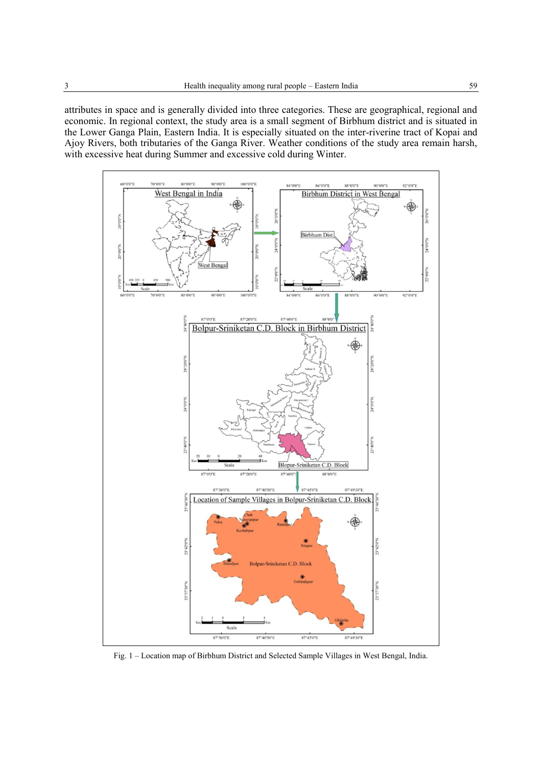attributes in space and is generally divided into three categories. These are geographical, regional and economic. In regional context, the study area is a small segment of Birbhum district and is situated in the Lower Ganga Plain, Eastern India. It is especially situated on the inter-riverine tract of Kopai and Ajoy Rivers, both tributaries of the Ganga River. Weather conditions of the study area remain harsh, with excessive heat during Summer and excessive cold during Winter.



Fig. 1 – Location map of Birbhum District and Selected Sample Villages in West Bengal, India.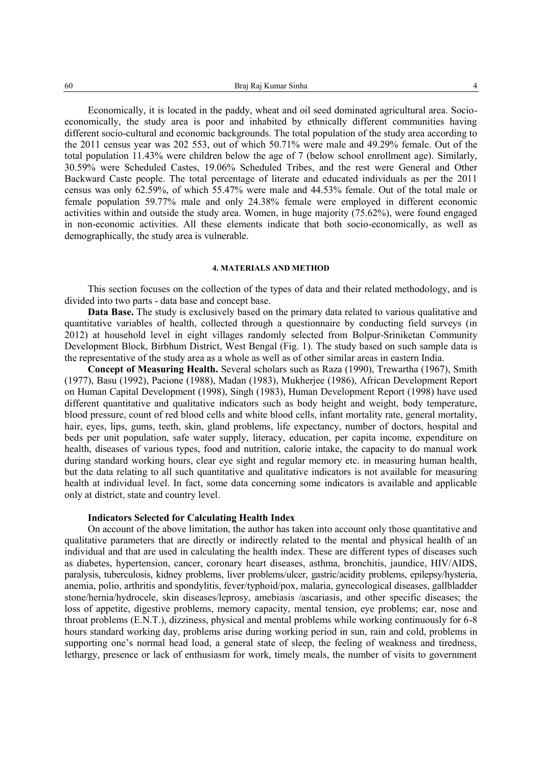Economically, it is located in the paddy, wheat and oil seed dominated agricultural area. Socioeconomically, the study area is poor and inhabited by ethnically different communities having different socio-cultural and economic backgrounds. The total population of the study area according to the 2011 census year was 202 553, out of which 50.71% were male and 49.29% female. Out of the total population 11.43% were children below the age of 7 (below school enrollment age). Similarly, 30.59% were Scheduled Castes, 19.06% Scheduled Tribes, and the rest were General and Other Backward Caste people. The total percentage of literate and educated individuals as per the 2011 census was only 62.59%, of which 55.47% were male and 44.53% female. Out of the total male or female population 59.77% male and only 24.38% female were employed in different economic activities within and outside the study area. Women, in huge majority (75.62%), were found engaged in non-economic activities. All these elements indicate that both socio-economically, as well as demographically, the study area is vulnerable.

#### **4. MATERIALS AND METHOD**

This section focuses on the collection of the types of data and their related methodology, and is divided into two parts - data base and concept base.

**Data Base.** The study is exclusively based on the primary data related to various qualitative and quantitative variables of health, collected through a questionnaire by conducting field surveys (in 2012) at household level in eight villages randomly selected from Bolpur-Sriniketan Community Development Block, Birbhum District, West Bengal (Fig. 1). The study based on such sample data is the representative of the study area as a whole as well as of other similar areas in eastern India.

**Concept of Measuring Health.** Several scholars such as Raza (1990), Trewartha (1967), Smith (1977), Basu (1992), Pacione (1988), Madan (1983), Mukherjee (1986), African Development Report on Human Capital Development (1998), Singh (1983), Human Development Report (1998) have used different quantitative and qualitative indicators such as body height and weight, body temperature, blood pressure, count of red blood cells and white blood cells, infant mortality rate, general mortality, hair, eyes, lips, gums, teeth, skin, gland problems, life expectancy, number of doctors, hospital and beds per unit population, safe water supply, literacy, education, per capita income, expenditure on health, diseases of various types, food and nutrition, calorie intake, the capacity to do manual work during standard working hours, clear eye sight and regular memory etc. in measuring human health, but the data relating to all such quantitative and qualitative indicators is not available for measuring health at individual level. In fact, some data concerning some indicators is available and applicable only at district, state and country level.

### **Indicators Selected for Calculating Health Index**

On account of the above limitation, the author has taken into account only those quantitative and qualitative parameters that are directly or indirectly related to the mental and physical health of an individual and that are used in calculating the health index. These are different types of diseases such as diabetes, hypertension, cancer, coronary heart diseases, asthma, bronchitis, jaundice, HIV/AIDS, paralysis, tuberculosis, kidney problems, liver problems/ulcer, gastric/acidity problems, epilepsy/hysteria, anemia, polio, arthritis and spondylitis, fever/typhoid/pox, malaria, gynecological diseases, gallbladder stone/hernia/hydrocele, skin diseases/leprosy, amebiasis /ascariasis, and other specific diseases; the loss of appetite, digestive problems, memory capacity, mental tension, eye problems; ear, nose and throat problems (E.N.T.), dizziness, physical and mental problems while working continuously for 6-8 hours standard working day, problems arise during working period in sun, rain and cold, problems in supporting one's normal head load, a general state of sleep, the feeling of weakness and tiredness, lethargy, presence or lack of enthusiasm for work, timely meals, the number of visits to government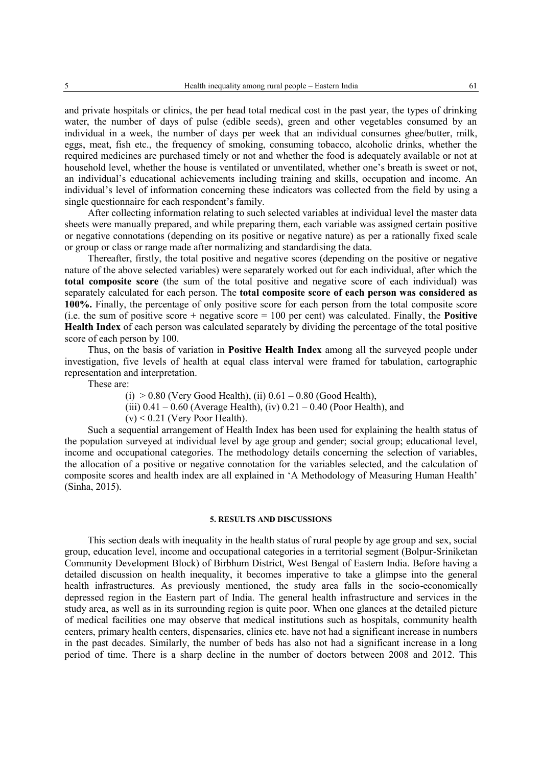and private hospitals or clinics, the per head total medical cost in the past year, the types of drinking water, the number of days of pulse (edible seeds), green and other vegetables consumed by an individual in a week, the number of days per week that an individual consumes ghee/butter, milk, eggs, meat, fish etc., the frequency of smoking, consuming tobacco, alcoholic drinks, whether the required medicines are purchased timely or not and whether the food is adequately available or not at household level, whether the house is ventilated or unventilated, whether one's breath is sweet or not, an individual's educational achievements including training and skills, occupation and income. An individual's level of information concerning these indicators was collected from the field by using a single questionnaire for each respondent's family.

After collecting information relating to such selected variables at individual level the master data sheets were manually prepared, and while preparing them, each variable was assigned certain positive or negative connotations (depending on its positive or negative nature) as per a rationally fixed scale or group or class or range made after normalizing and standardising the data.

Thereafter, firstly, the total positive and negative scores (depending on the positive or negative nature of the above selected variables) were separately worked out for each individual, after which the **total composite score** (the sum of the total positive and negative score of each individual) was separately calculated for each person. The **total composite score of each person was considered as 100%.** Finally, the percentage of only positive score for each person from the total composite score (i.e. the sum of positive score + negative score = 100 per cent) was calculated. Finally, the **Positive Health Index** of each person was calculated separately by dividing the percentage of the total positive score of each person by 100.

Thus, on the basis of variation in **Positive Health Index** among all the surveyed people under investigation, five levels of health at equal class interval were framed for tabulation, cartographic representation and interpretation.

These are:

(i)  $> 0.80$  (Very Good Health), (ii)  $0.61 - 0.80$  (Good Health),

(iii)  $0.41 - 0.60$  (Average Health), (iv)  $0.21 - 0.40$  (Poor Health), and

 $(v)$  < 0.21 (Very Poor Health).

Such a sequential arrangement of Health Index has been used for explaining the health status of the population surveyed at individual level by age group and gender; social group; educational level, income and occupational categories. The methodology details concerning the selection of variables, the allocation of a positive or negative connotation for the variables selected, and the calculation of composite scores and health index are all explained in 'A Methodology of Measuring Human Health' (Sinha, 2015).

#### **5. RESULTS AND DISCUSSIONS**

This section deals with inequality in the health status of rural people by age group and sex, social group, education level, income and occupational categories in a territorial segment (Bolpur-Sriniketan Community Development Block) of Birbhum District, West Bengal of Eastern India. Before having a detailed discussion on health inequality, it becomes imperative to take a glimpse into the general health infrastructures. As previously mentioned, the study area falls in the socio-economically depressed region in the Eastern part of India. The general health infrastructure and services in the study area, as well as in its surrounding region is quite poor. When one glances at the detailed picture of medical facilities one may observe that medical institutions such as hospitals, community health centers, primary health centers, dispensaries, clinics etc. have not had a significant increase in numbers in the past decades. Similarly, the number of beds has also not had a significant increase in a long period of time. There is a sharp decline in the number of doctors between 2008 and 2012. This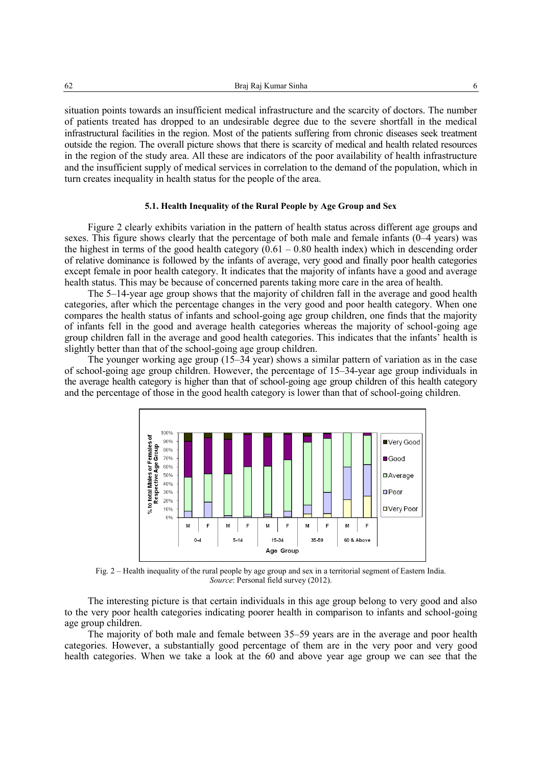62 Braj Raj Kumar Sinha 6

situation points towards an insufficient medical infrastructure and the scarcity of doctors. The number of patients treated has dropped to an undesirable degree due to the severe shortfall in the medical infrastructural facilities in the region. Most of the patients suffering from chronic diseases seek treatment outside the region. The overall picture shows that there is scarcity of medical and health related resources in the region of the study area. All these are indicators of the poor availability of health infrastructure and the insufficient supply of medical services in correlation to the demand of the population, which in turn creates inequality in health status for the people of the area.

### **5.1. Health Inequality of the Rural People by Age Group and Sex**

Figure 2 clearly exhibits variation in the pattern of health status across different age groups and sexes. This figure shows clearly that the percentage of both male and female infants (0–4 years) was the highest in terms of the good health category  $(0.61 - 0.80$  health index) which in descending order of relative dominance is followed by the infants of average, very good and finally poor health categories except female in poor health category. It indicates that the majority of infants have a good and average health status. This may be because of concerned parents taking more care in the area of health.

The 5–14-year age group shows that the majority of children fall in the average and good health categories, after which the percentage changes in the very good and poor health category. When one compares the health status of infants and school-going age group children, one finds that the majority of infants fell in the good and average health categories whereas the majority of school-going age group children fall in the average and good health categories. This indicates that the infants' health is slightly better than that of the school-going age group children.

The younger working age group (15–34 year) shows a similar pattern of variation as in the case of school-going age group children. However, the percentage of 15–34-year age group individuals in the average health category is higher than that of school-going age group children of this health category and the percentage of those in the good health category is lower than that of school-going children.



Fig. 2 – Health inequality of the rural people by age group and sex in a territorial segment of Eastern India. *Source*: Personal field survey (2012).

The interesting picture is that certain individuals in this age group belong to very good and also to the very poor health categories indicating poorer health in comparison to infants and school-going age group children.

The majority of both male and female between 35–59 years are in the average and poor health categories. However, a substantially good percentage of them are in the very poor and very good health categories. When we take a look at the 60 and above year age group we can see that the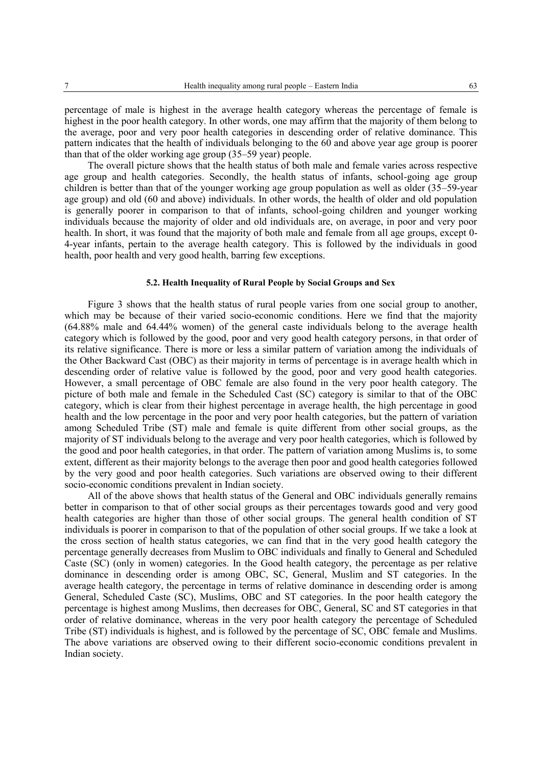percentage of male is highest in the average health category whereas the percentage of female is highest in the poor health category. In other words, one may affirm that the majority of them belong to the average, poor and very poor health categories in descending order of relative dominance. This pattern indicates that the health of individuals belonging to the 60 and above year age group is poorer than that of the older working age group (35–59 year) people.

The overall picture shows that the health status of both male and female varies across respective age group and health categories. Secondly, the health status of infants, school-going age group children is better than that of the younger working age group population as well as older (35–59-year age group) and old (60 and above) individuals. In other words, the health of older and old population is generally poorer in comparison to that of infants, school-going children and younger working individuals because the majority of older and old individuals are, on average, in poor and very poor health. In short, it was found that the majority of both male and female from all age groups, except 0- 4-year infants, pertain to the average health category. This is followed by the individuals in good health, poor health and very good health, barring few exceptions.

### **5.2. Health Inequality of Rural People by Social Groups and Sex**

Figure 3 shows that the health status of rural people varies from one social group to another, which may be because of their varied socio-economic conditions. Here we find that the majority (64.88% male and 64.44% women) of the general caste individuals belong to the average health category which is followed by the good, poor and very good health category persons, in that order of its relative significance. There is more or less a similar pattern of variation among the individuals of the Other Backward Cast (OBC) as their majority in terms of percentage is in average health which in descending order of relative value is followed by the good, poor and very good health categories. However, a small percentage of OBC female are also found in the very poor health category. The picture of both male and female in the Scheduled Cast (SC) category is similar to that of the OBC category, which is clear from their highest percentage in average health, the high percentage in good health and the low percentage in the poor and very poor health categories, but the pattern of variation among Scheduled Tribe (ST) male and female is quite different from other social groups, as the majority of ST individuals belong to the average and very poor health categories, which is followed by the good and poor health categories, in that order. The pattern of variation among Muslims is, to some extent, different as their majority belongs to the average then poor and good health categories followed by the very good and poor health categories. Such variations are observed owing to their different socio-economic conditions prevalent in Indian society.

All of the above shows that health status of the General and OBC individuals generally remains better in comparison to that of other social groups as their percentages towards good and very good health categories are higher than those of other social groups. The general health condition of ST individuals is poorer in comparison to that of the population of other social groups. If we take a look at the cross section of health status categories, we can find that in the very good health category the percentage generally decreases from Muslim to OBC individuals and finally to General and Scheduled Caste (SC) (only in women) categories. In the Good health category, the percentage as per relative dominance in descending order is among OBC, SC, General, Muslim and ST categories. In the average health category, the percentage in terms of relative dominance in descending order is among General, Scheduled Caste (SC), Muslims, OBC and ST categories. In the poor health category the percentage is highest among Muslims, then decreases for OBC, General, SC and ST categories in that order of relative dominance, whereas in the very poor health category the percentage of Scheduled Tribe (ST) individuals is highest, and is followed by the percentage of SC, OBC female and Muslims. The above variations are observed owing to their different socio-economic conditions prevalent in Indian society.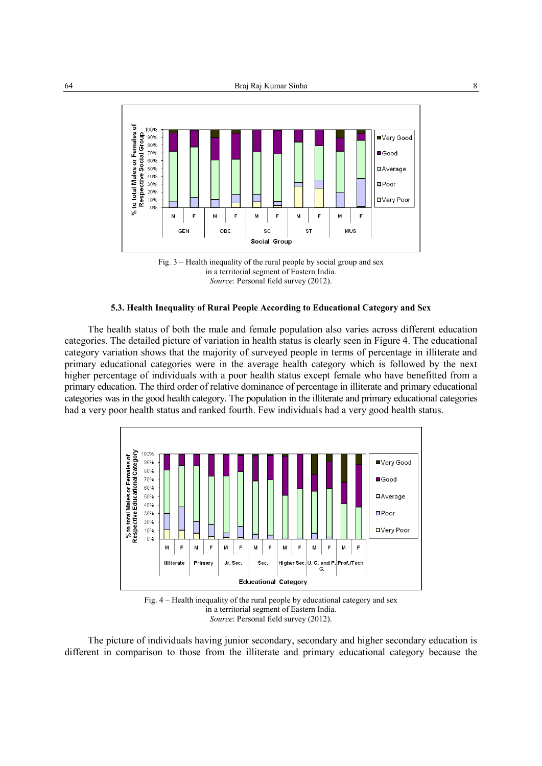



### **5.3. Health Inequality of Rural People According to Educational Category and Sex**

The health status of both the male and female population also varies across different education categories. The detailed picture of variation in health status is clearly seen in Figure 4. The educational category variation shows that the majority of surveyed people in terms of percentage in illiterate and primary educational categories were in the average health category which is followed by the next higher percentage of individuals with a poor health status except female who have benefitted from a primary education. The third order of relative dominance of percentage in illiterate and primary educational categories was in the good health category. The population in the illiterate and primary educational categories had a very poor health status and ranked fourth. Few individuals had a very good health status.



Fig. 4 – Health inequality of the rural people by educational category and sex in a territorial segment of Eastern India. *Source*: Personal field survey (2012).

The picture of individuals having junior secondary, secondary and higher secondary education is different in comparison to those from the illiterate and primary educational category because the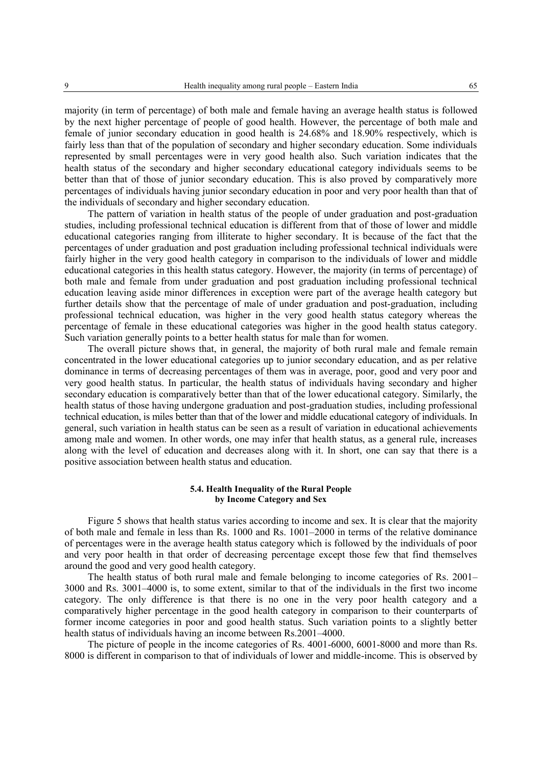majority (in term of percentage) of both male and female having an average health status is followed by the next higher percentage of people of good health. However, the percentage of both male and female of junior secondary education in good health is 24.68% and 18.90% respectively, which is fairly less than that of the population of secondary and higher secondary education. Some individuals represented by small percentages were in very good health also. Such variation indicates that the health status of the secondary and higher secondary educational category individuals seems to be better than that of those of junior secondary education. This is also proved by comparatively more percentages of individuals having junior secondary education in poor and very poor health than that of the individuals of secondary and higher secondary education.

The pattern of variation in health status of the people of under graduation and post-graduation studies, including professional technical education is different from that of those of lower and middle educational categories ranging from illiterate to higher secondary. It is because of the fact that the percentages of under graduation and post graduation including professional technical individuals were fairly higher in the very good health category in comparison to the individuals of lower and middle educational categories in this health status category. However, the majority (in terms of percentage) of both male and female from under graduation and post graduation including professional technical education leaving aside minor differences in exception were part of the average health category but further details show that the percentage of male of under graduation and post-graduation, including professional technical education, was higher in the very good health status category whereas the percentage of female in these educational categories was higher in the good health status category. Such variation generally points to a better health status for male than for women.

The overall picture shows that, in general, the majority of both rural male and female remain concentrated in the lower educational categories up to junior secondary education, and as per relative dominance in terms of decreasing percentages of them was in average, poor, good and very poor and very good health status. In particular, the health status of individuals having secondary and higher secondary education is comparatively better than that of the lower educational category. Similarly, the health status of those having undergone graduation and post-graduation studies, including professional technical education, is miles better than that of the lower and middle educational category of individuals. In general, such variation in health status can be seen as a result of variation in educational achievements among male and women. In other words, one may infer that health status, as a general rule, increases along with the level of education and decreases along with it. In short, one can say that there is a positive association between health status and education.

## **5.4. Health Inequality of the Rural People by Income Category and Sex**

Figure 5 shows that health status varies according to income and sex. It is clear that the majority of both male and female in less than Rs. 1000 and Rs. 1001–2000 in terms of the relative dominance of percentages were in the average health status category which is followed by the individuals of poor and very poor health in that order of decreasing percentage except those few that find themselves around the good and very good health category.

The health status of both rural male and female belonging to income categories of Rs. 2001– 3000 and Rs. 3001–4000 is, to some extent, similar to that of the individuals in the first two income category. The only difference is that there is no one in the very poor health category and a comparatively higher percentage in the good health category in comparison to their counterparts of former income categories in poor and good health status. Such variation points to a slightly better health status of individuals having an income between Rs.2001–4000.

The picture of people in the income categories of Rs. 4001-6000, 6001-8000 and more than Rs. 8000 is different in comparison to that of individuals of lower and middle-income. This is observed by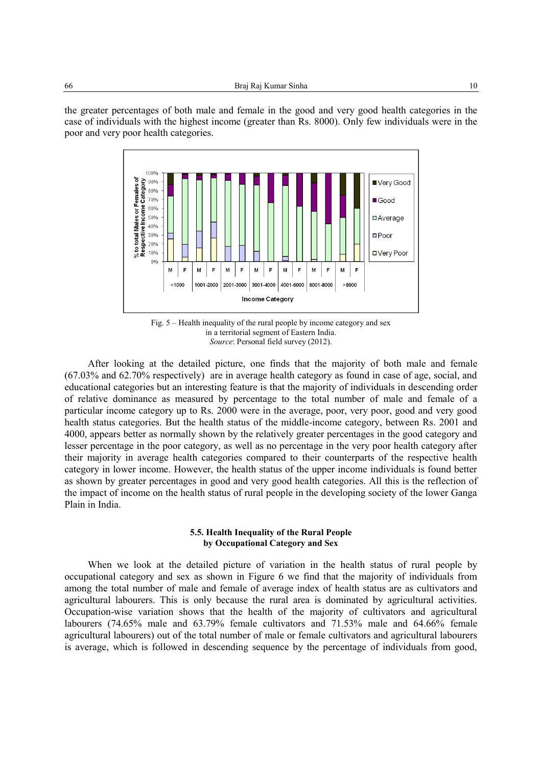the greater percentages of both male and female in the good and very good health categories in the case of individuals with the highest income (greater than Rs. 8000). Only few individuals were in the poor and very poor health categories.



Fig. 5 – Health inequality of the rural people by income category and sex in a territorial segment of Eastern India. *Source*: Personal field survey (2012).

After looking at the detailed picture, one finds that the majority of both male and female (67.03% and 62.70% respectively) are in average health category as found in case of age, social, and educational categories but an interesting feature is that the majority of individuals in descending order of relative dominance as measured by percentage to the total number of male and female of a particular income category up to Rs. 2000 were in the average, poor, very poor, good and very good health status categories. But the health status of the middle-income category, between Rs. 2001 and 4000, appears better as normally shown by the relatively greater percentages in the good category and lesser percentage in the poor category, as well as no percentage in the very poor health category after their majority in average health categories compared to their counterparts of the respective health category in lower income. However, the health status of the upper income individuals is found better as shown by greater percentages in good and very good health categories. All this is the reflection of the impact of income on the health status of rural people in the developing society of the lower Ganga Plain in India.

## **5.5. Health Inequality of the Rural People by Occupational Category and Sex**

When we look at the detailed picture of variation in the health status of rural people by occupational category and sex as shown in Figure 6 we find that the majority of individuals from among the total number of male and female of average index of health status are as cultivators and agricultural labourers. This is only because the rural area is dominated by agricultural activities. Occupation-wise variation shows that the health of the majority of cultivators and agricultural labourers (74.65% male and 63.79% female cultivators and 71.53% male and 64.66% female agricultural labourers) out of the total number of male or female cultivators and agricultural labourers is average, which is followed in descending sequence by the percentage of individuals from good,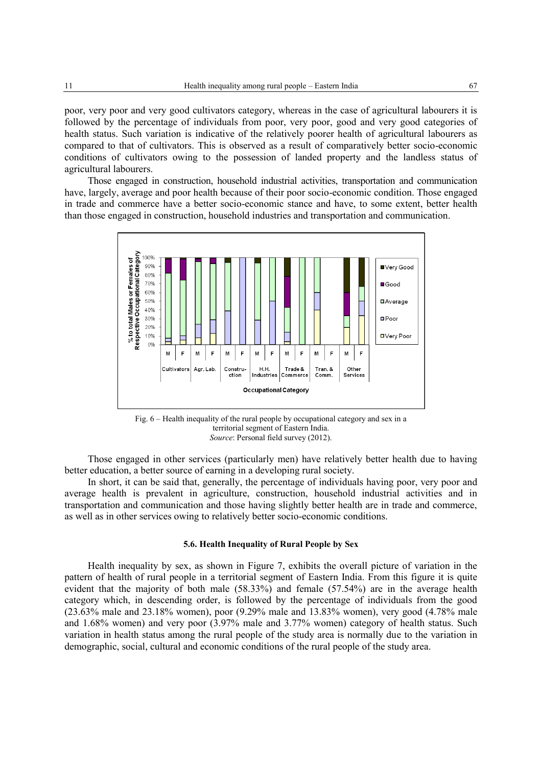poor, very poor and very good cultivators category, whereas in the case of agricultural labourers it is followed by the percentage of individuals from poor, very poor, good and very good categories of health status. Such variation is indicative of the relatively poorer health of agricultural labourers as compared to that of cultivators. This is observed as a result of comparatively better socio-economic conditions of cultivators owing to the possession of landed property and the landless status of agricultural labourers.

Those engaged in construction, household industrial activities, transportation and communication have, largely, average and poor health because of their poor socio-economic condition. Those engaged in trade and commerce have a better socio-economic stance and have, to some extent, better health than those engaged in construction, household industries and transportation and communication.



Fig. 6 – Health inequality of the rural people by occupational category and sex in a territorial segment of Eastern India. *Source*: Personal field survey (2012).

Those engaged in other services (particularly men) have relatively better health due to having better education, a better source of earning in a developing rural society.

In short, it can be said that, generally, the percentage of individuals having poor, very poor and average health is prevalent in agriculture, construction, household industrial activities and in transportation and communication and those having slightly better health are in trade and commerce, as well as in other services owing to relatively better socio-economic conditions.

#### **5.6. Health Inequality of Rural People by Sex**

Health inequality by sex, as shown in Figure 7, exhibits the overall picture of variation in the pattern of health of rural people in a territorial segment of Eastern India. From this figure it is quite evident that the majority of both male (58.33%) and female (57.54%) are in the average health category which, in descending order, is followed by the percentage of individuals from the good (23.63% male and 23.18% women), poor (9.29% male and 13.83% women), very good (4.78% male and 1.68% women) and very poor (3.97% male and 3.77% women) category of health status. Such variation in health status among the rural people of the study area is normally due to the variation in demographic, social, cultural and economic conditions of the rural people of the study area.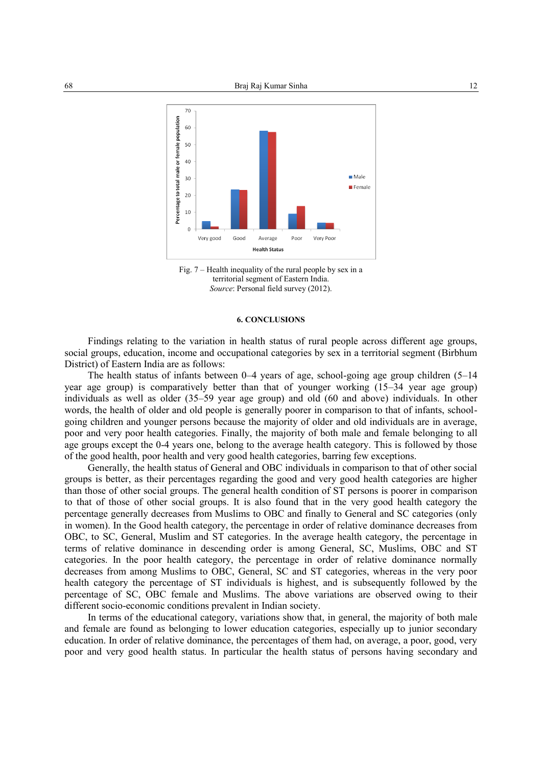



#### **6. CONCLUSIONS**

Findings relating to the variation in health status of rural people across different age groups, social groups, education, income and occupational categories by sex in a territorial segment (Birbhum District) of Eastern India are as follows:

The health status of infants between 0–4 years of age, school-going age group children (5–14 year age group) is comparatively better than that of younger working (15–34 year age group) individuals as well as older (35–59 year age group) and old (60 and above) individuals. In other words, the health of older and old people is generally poorer in comparison to that of infants, schoolgoing children and younger persons because the majority of older and old individuals are in average, poor and very poor health categories. Finally, the majority of both male and female belonging to all age groups except the 0-4 years one, belong to the average health category. This is followed by those of the good health, poor health and very good health categories, barring few exceptions.

Generally, the health status of General and OBC individuals in comparison to that of other social groups is better, as their percentages regarding the good and very good health categories are higher than those of other social groups. The general health condition of ST persons is poorer in comparison to that of those of other social groups. It is also found that in the very good health category the percentage generally decreases from Muslims to OBC and finally to General and SC categories (only in women). In the Good health category, the percentage in order of relative dominance decreases from OBC, to SC, General, Muslim and ST categories. In the average health category, the percentage in terms of relative dominance in descending order is among General, SC, Muslims, OBC and ST categories. In the poor health category, the percentage in order of relative dominance normally decreases from among Muslims to OBC, General, SC and ST categories, whereas in the very poor health category the percentage of ST individuals is highest, and is subsequently followed by the percentage of SC, OBC female and Muslims. The above variations are observed owing to their different socio-economic conditions prevalent in Indian society.

In terms of the educational category, variations show that, in general, the majority of both male and female are found as belonging to lower education categories, especially up to junior secondary education. In order of relative dominance, the percentages of them had, on average, a poor, good, very poor and very good health status. In particular the health status of persons having secondary and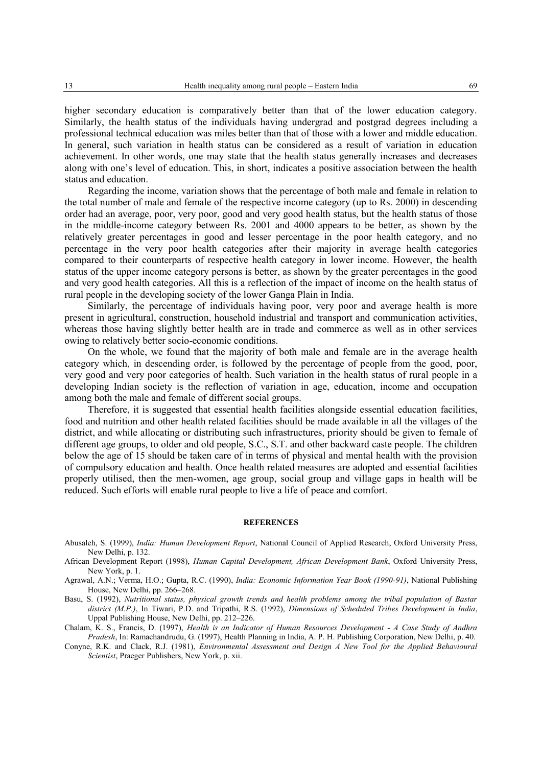higher secondary education is comparatively better than that of the lower education category. Similarly, the health status of the individuals having undergrad and postgrad degrees including a professional technical education was miles better than that of those with a lower and middle education. In general, such variation in health status can be considered as a result of variation in education achievement. In other words, one may state that the health status generally increases and decreases along with one's level of education. This, in short, indicates a positive association between the health status and education.

Regarding the income, variation shows that the percentage of both male and female in relation to the total number of male and female of the respective income category (up to Rs. 2000) in descending order had an average, poor, very poor, good and very good health status, but the health status of those in the middle-income category between Rs. 2001 and 4000 appears to be better, as shown by the relatively greater percentages in good and lesser percentage in the poor health category, and no percentage in the very poor health categories after their majority in average health categories compared to their counterparts of respective health category in lower income. However, the health status of the upper income category persons is better, as shown by the greater percentages in the good and very good health categories. All this is a reflection of the impact of income on the health status of rural people in the developing society of the lower Ganga Plain in India.

Similarly, the percentage of individuals having poor, very poor and average health is more present in agricultural, construction, household industrial and transport and communication activities, whereas those having slightly better health are in trade and commerce as well as in other services owing to relatively better socio-economic conditions.

On the whole, we found that the majority of both male and female are in the average health category which, in descending order, is followed by the percentage of people from the good, poor, very good and very poor categories of health. Such variation in the health status of rural people in a developing Indian society is the reflection of variation in age, education, income and occupation among both the male and female of different social groups.

Therefore, it is suggested that essential health facilities alongside essential education facilities, food and nutrition and other health related facilities should be made available in all the villages of the district, and while allocating or distributing such infrastructures, priority should be given to female of different age groups, to older and old people, S.C., S.T. and other backward caste people. The children below the age of 15 should be taken care of in terms of physical and mental health with the provision of compulsory education and health. Once health related measures are adopted and essential facilities properly utilised, then the men-women, age group, social group and village gaps in health will be reduced. Such efforts will enable rural people to live a life of peace and comfort.

#### **REFERENCES**

- Abusaleh, S. (1999), *India: Human Development Report*, National Council of Applied Research, Oxford University Press, New Delhi, p. 132.
- African Development Report (1998), *Human Capital Development, African Development Bank*, Oxford University Press, New York, p. 1.
- Agrawal, A.N.; Verma, H.O.; Gupta, R.C. (1990), *India: Economic Information Year Book (1990-91)*, National Publishing House, New Delhi, pp. 266–268.
- Basu, S. (1992), *Nutritional status, physical growth trends and health problems among the tribal population of Bastar district (M.P.)*, In Tiwari, P.D. and Tripathi, R.S. (1992), *Dimensions of Scheduled Tribes Development in India*, Uppal Publishing House, New Delhi, pp. 212–226.
- Chalam, K. S., Francis, D. (1997), *Health is an Indicator of Human Resources Development - A Case Study of Andhra Pradesh*, In: Ramachandrudu, G. (1997), Health Planning in India, A. P. H. Publishing Corporation, New Delhi, p. 40.

Conyne, R.K. and Clack, R.J. (1981), *Environmental Assessment and Design A New Tool for the Applied Behavioural Scientist*, Praeger Publishers, New York, p. xii.